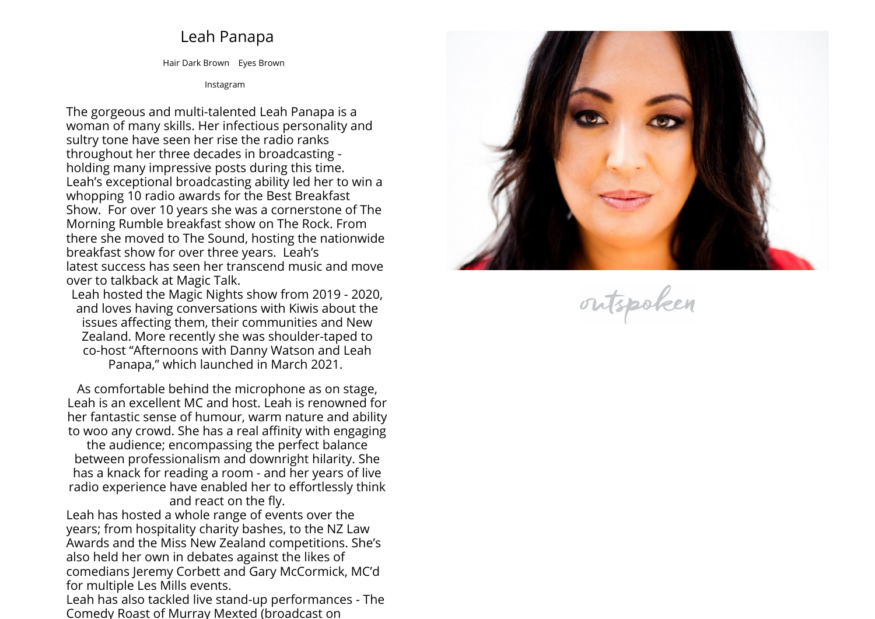## **Leah Panapa**

**Hair Dark Brown Eyes Brown**

**[Instagram](https://www.instagram.com/leahrpanapa)**

**The gorgeous and multi-talented Leah Panapa is a woman of many skills. Her infectious personality and sultry tone have seen her rise the radio ranks throughout her three decades in broadcasting - holding many impressive posts during this time. Leah's exceptional broadcasting ability led her to winawhopping <sup>10</sup> radio awards for the Best Breakfast Show. For over <sup>10</sup> years she was a cornerstone of The Morning Rumble breakfast show on The Rock. From there she moved to The Sound, hosting the nationwide breakfast show for over three years. Leah's latest success has seen her transcend music and move over to talkback at Magic Talk.** 

**Leah hosted the Magic Nights show from <sup>2019</sup> - 2020, and loves having conversations with Kiwis about the issues affecting them, their communities and New Zealand. More recently she was shoulder-taped to co-host "Afternoons with Danny Watson and Leah Panapa," which launched in March 2021.** 

**As comfortable behind the microphone as on stage, Leah is an excellent MC and host. Leah is renowned for her fantastic sense of humour, warm nature and ability to woo any crowd. She has a real affinity with engaging the audience; encompassing the perfect balance between professionalism and downright hilarity. She hasa knack for reading a room - and her years of live radio experience have enabled her to effortlessly think and react on the fly.**

**Leah has hosted a whole range of events over the years; from hospitality charity bashes, to the NZ Law Awards and the Miss New Zealand competitions. She's also held her own in debates against the likes of comedians Jeremy Corbett and Gary McCormick, MC'd for multiple Les Mills events.** 

**Leah has also tackled live stand-up performances - The Comedy Roast of Murray Mexted (broadcast on**



outspoken